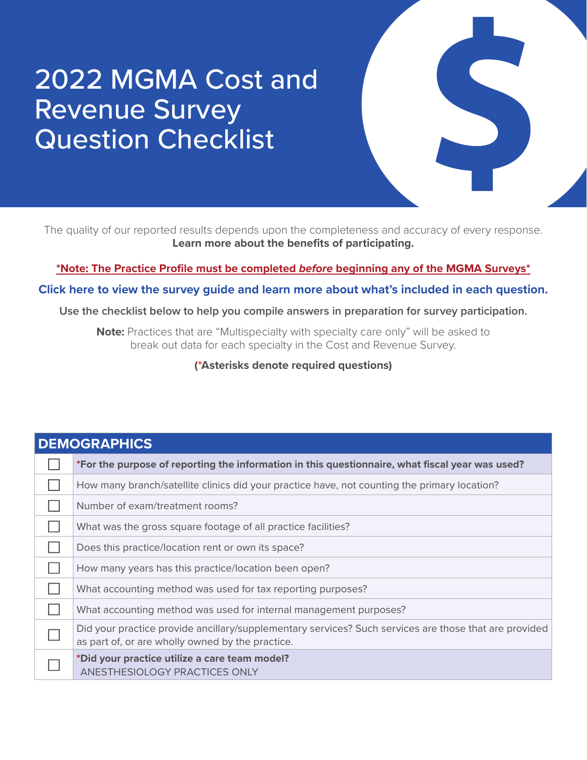The quality of our reported results depends upon the completeness and accuracy of every response. **[Learn more about the benefits of participating.](https://mgma.com/data/landing-pages/thank-you-for-downloading-participation-benefits-g)**

**[\\*Note: The Practice Profile must be completed](https://mgma.com/getmedia/8e492fd2-5762-47f4-bcee-97526a988a30/FINAL_2111-D13778F-Updated-Practice-Profile-Guide-Letter-V2-NM.pdf.aspx)** *before* **beginning any of the MGMA Surveys\***

**[Click here to view the survey guide and learn more about what's included in each question.](https://mgma.com/getmedia/e481767a-9dc8-40ad-8c81-22e095ea7aec/FINAL_2111-D18324F-2022-Cost-Rev-Survey-GUIDE-MA_v3-1.pdf.aspx)**

**Use the checklist below to help you compile answers in preparation for survey participation.** 

**Note:** Practices that are "Multispecialty with specialty care only" will be asked to break out data for each specialty in the Cost and Revenue Survey.

**(\*Asterisks denote required questions)**

| <b>DEMOGRAPHICS</b> |                                                                                                                                                           |
|---------------------|-----------------------------------------------------------------------------------------------------------------------------------------------------------|
|                     | *For the purpose of reporting the information in this questionnaire, what fiscal year was used?                                                           |
|                     | How many branch/satellite clinics did your practice have, not counting the primary location?                                                              |
|                     | Number of exam/treatment rooms?                                                                                                                           |
|                     | What was the gross square footage of all practice facilities?                                                                                             |
|                     | Does this practice/location rent or own its space?                                                                                                        |
|                     | How many years has this practice/location been open?                                                                                                      |
|                     | What accounting method was used for tax reporting purposes?                                                                                               |
|                     | What accounting method was used for internal management purposes?                                                                                         |
|                     | Did your practice provide ancillary/supplementary services? Such services are those that are provided<br>as part of, or are wholly owned by the practice. |
|                     | *Did your practice utilize a care team model?<br>ANESTHESIOLOGY PRACTICES ONLY                                                                            |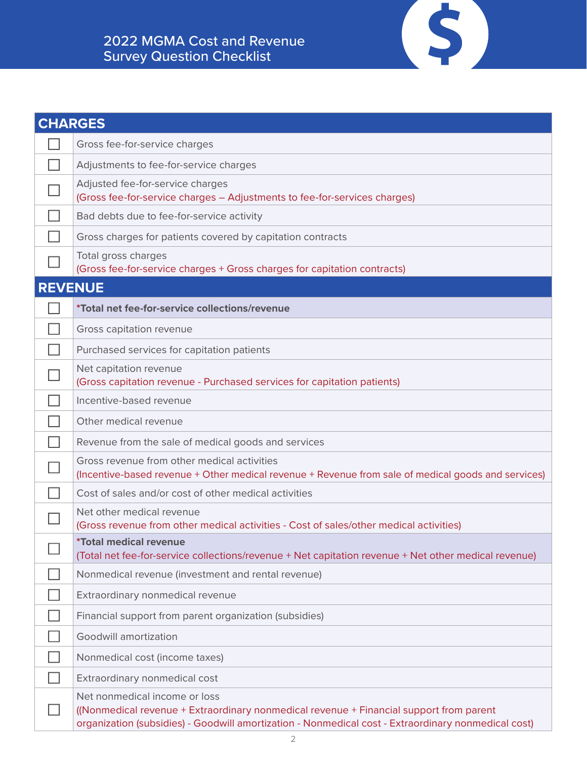| <b>CHARGES</b> |                                                                                                                                                                                                                                 |
|----------------|---------------------------------------------------------------------------------------------------------------------------------------------------------------------------------------------------------------------------------|
|                | Gross fee-for-service charges                                                                                                                                                                                                   |
|                | Adjustments to fee-for-service charges                                                                                                                                                                                          |
|                | Adjusted fee-for-service charges<br>(Gross fee-for-service charges - Adjustments to fee-for-services charges)                                                                                                                   |
|                | Bad debts due to fee-for-service activity                                                                                                                                                                                       |
|                | Gross charges for patients covered by capitation contracts                                                                                                                                                                      |
|                | Total gross charges<br>(Gross fee-for-service charges + Gross charges for capitation contracts)                                                                                                                                 |
| <b>REVENUE</b> |                                                                                                                                                                                                                                 |
|                | <i>*Total net fee-for-service collections/revenue</i>                                                                                                                                                                           |
|                | Gross capitation revenue                                                                                                                                                                                                        |
|                | Purchased services for capitation patients                                                                                                                                                                                      |
|                | Net capitation revenue<br>(Gross capitation revenue - Purchased services for capitation patients)                                                                                                                               |
|                | Incentive-based revenue                                                                                                                                                                                                         |
|                | Other medical revenue                                                                                                                                                                                                           |
|                | Revenue from the sale of medical goods and services                                                                                                                                                                             |
|                | Gross revenue from other medical activities<br>(Incentive-based revenue + Other medical revenue + Revenue from sale of medical goods and services)                                                                              |
|                | Cost of sales and/or cost of other medical activities                                                                                                                                                                           |
|                | Net other medical revenue<br>(Gross revenue from other medical activities - Cost of sales/other medical activities)                                                                                                             |
|                | <i><b>*Total medical revenue</b></i><br>(Total net fee-for-service collections/revenue + Net capitation revenue + Net other medical revenue)                                                                                    |
|                | Nonmedical revenue (investment and rental revenue)                                                                                                                                                                              |
|                | Extraordinary nonmedical revenue                                                                                                                                                                                                |
|                | Financial support from parent organization (subsidies)                                                                                                                                                                          |
|                | Goodwill amortization                                                                                                                                                                                                           |
|                | Nonmedical cost (income taxes)                                                                                                                                                                                                  |
|                | Extraordinary nonmedical cost                                                                                                                                                                                                   |
|                | Net nonmedical income or loss<br>((Nonmedical revenue + Extraordinary nonmedical revenue + Financial support from parent<br>organization (subsidies) - Goodwill amortization - Nonmedical cost - Extraordinary nonmedical cost) |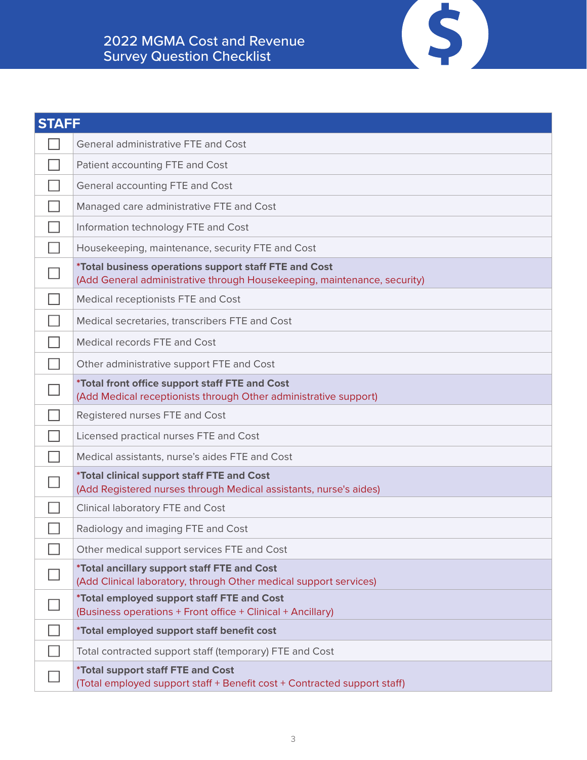| <b>STAFF</b> |                                                                                                                                   |
|--------------|-----------------------------------------------------------------------------------------------------------------------------------|
|              | <b>General administrative FTE and Cost</b>                                                                                        |
|              | Patient accounting FTE and Cost                                                                                                   |
|              | General accounting FTE and Cost                                                                                                   |
|              | Managed care administrative FTE and Cost                                                                                          |
|              | Information technology FTE and Cost                                                                                               |
|              | Housekeeping, maintenance, security FTE and Cost                                                                                  |
|              | *Total business operations support staff FTE and Cost<br>(Add General administrative through Housekeeping, maintenance, security) |
|              | Medical receptionists FTE and Cost                                                                                                |
|              | Medical secretaries, transcribers FTE and Cost                                                                                    |
|              | Medical records FTE and Cost                                                                                                      |
|              | Other administrative support FTE and Cost                                                                                         |
|              | *Total front office support staff FTE and Cost<br>(Add Medical receptionists through Other administrative support)                |
|              | Registered nurses FTE and Cost                                                                                                    |
|              | Licensed practical nurses FTE and Cost                                                                                            |
|              | Medical assistants, nurse's aides FTE and Cost                                                                                    |
|              | *Total clinical support staff FTE and Cost<br>(Add Registered nurses through Medical assistants, nurse's aides)                   |
|              | Clinical laboratory FTE and Cost                                                                                                  |
|              | Radiology and imaging FTE and Cost                                                                                                |
|              | Other medical support services FTE and Cost                                                                                       |
|              | *Total ancillary support staff FTE and Cost<br>(Add Clinical laboratory, through Other medical support services)                  |
|              | *Total employed support staff FTE and Cost<br>(Business operations + Front office + Clinical + Ancillary)                         |
|              | *Total employed support staff benefit cost                                                                                        |
|              | Total contracted support staff (temporary) FTE and Cost                                                                           |
|              | *Total support staff FTE and Cost<br>(Total employed support staff + Benefit cost + Contracted support staff)                     |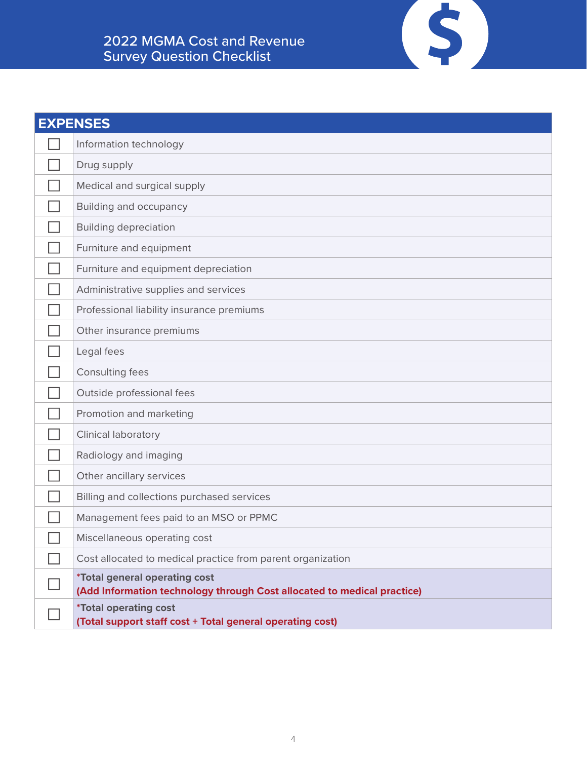| <b>EXPENSES</b> |                                                                                                                 |
|-----------------|-----------------------------------------------------------------------------------------------------------------|
|                 | Information technology                                                                                          |
|                 | Drug supply                                                                                                     |
|                 | Medical and surgical supply                                                                                     |
|                 | <b>Building and occupancy</b>                                                                                   |
|                 | <b>Building depreciation</b>                                                                                    |
|                 | Furniture and equipment                                                                                         |
|                 | Furniture and equipment depreciation                                                                            |
|                 | Administrative supplies and services                                                                            |
|                 | Professional liability insurance premiums                                                                       |
|                 | Other insurance premiums                                                                                        |
|                 | Legal fees                                                                                                      |
|                 | Consulting fees                                                                                                 |
|                 | Outside professional fees                                                                                       |
|                 | Promotion and marketing                                                                                         |
|                 | Clinical laboratory                                                                                             |
|                 | Radiology and imaging                                                                                           |
|                 | Other ancillary services                                                                                        |
|                 | Billing and collections purchased services                                                                      |
|                 | Management fees paid to an MSO or PPMC                                                                          |
|                 | Miscellaneous operating cost                                                                                    |
|                 | Cost allocated to medical practice from parent organization                                                     |
|                 | <i>*Total general operating cost</i><br>(Add Information technology through Cost allocated to medical practice) |
|                 | <i><b>*Total operating cost</b></i><br>(Total support staff cost + Total general operating cost)                |

 $\left( \text{S} \right)$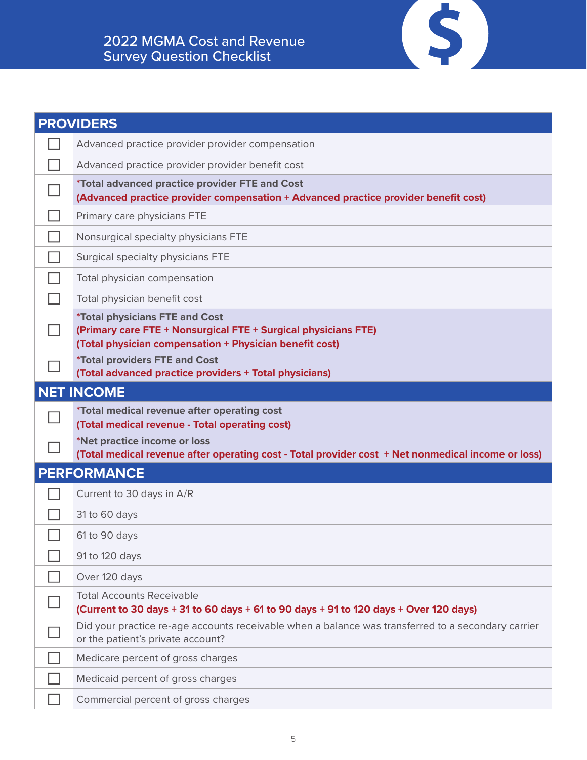| <b>PROVIDERS</b> |                                                                                                                                                                    |
|------------------|--------------------------------------------------------------------------------------------------------------------------------------------------------------------|
|                  | Advanced practice provider provider compensation                                                                                                                   |
|                  | Advanced practice provider provider benefit cost                                                                                                                   |
|                  | *Total advanced practice provider FTE and Cost<br>(Advanced practice provider compensation + Advanced practice provider benefit cost)                              |
|                  | Primary care physicians FTE                                                                                                                                        |
|                  | Nonsurgical specialty physicians FTE                                                                                                                               |
|                  | Surgical specialty physicians FTE                                                                                                                                  |
|                  | Total physician compensation                                                                                                                                       |
|                  | Total physician benefit cost                                                                                                                                       |
|                  | <b>*Total physicians FTE and Cost</b><br>(Primary care FTE + Nonsurgical FTE + Surgical physicians FTE)<br>(Total physician compensation + Physician benefit cost) |
|                  | <i><b>*Total providers FTE and Cost</b></i><br>(Total advanced practice providers + Total physicians)                                                              |
|                  | <b>NET INCOME</b>                                                                                                                                                  |
|                  | *Total medical revenue after operating cost                                                                                                                        |
|                  | (Total medical revenue - Total operating cost)                                                                                                                     |
|                  | *Net practice income or loss<br>(Total medical revenue after operating cost - Total provider cost + Net nonmedical income or loss)                                 |
|                  | <b>PERFORMANCE</b>                                                                                                                                                 |
|                  | Current to 30 days in A/R                                                                                                                                          |
|                  | 31 to 60 days                                                                                                                                                      |
|                  | 61 to 90 days                                                                                                                                                      |
|                  | 91 to 120 days                                                                                                                                                     |
|                  | Over 120 days                                                                                                                                                      |
|                  | <b>Total Accounts Receivable</b><br>(Current to 30 days + 31 to 60 days + 61 to 90 days + 91 to 120 days + Over 120 days)                                          |
|                  | Did your practice re-age accounts receivable when a balance was transferred to a secondary carrier<br>or the patient's private account?                            |
|                  | Medicare percent of gross charges                                                                                                                                  |
|                  | Medicaid percent of gross charges                                                                                                                                  |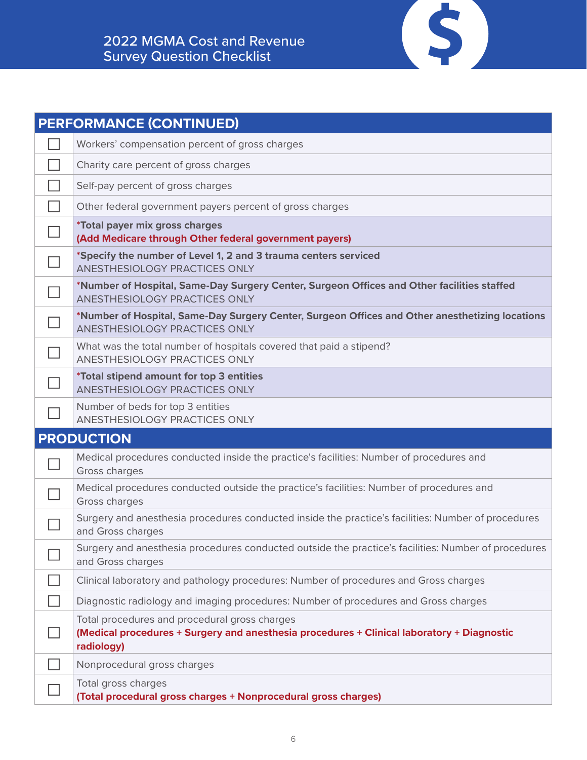| <b>PERFORMANCE (CONTINUED)</b> |                                                                                                                                                           |
|--------------------------------|-----------------------------------------------------------------------------------------------------------------------------------------------------------|
|                                | Workers' compensation percent of gross charges                                                                                                            |
|                                | Charity care percent of gross charges                                                                                                                     |
|                                | Self-pay percent of gross charges                                                                                                                         |
|                                | Other federal government payers percent of gross charges                                                                                                  |
|                                | *Total payer mix gross charges<br>(Add Medicare through Other federal government payers)                                                                  |
|                                | *Specify the number of Level 1, 2 and 3 trauma centers serviced<br>ANESTHESIOLOGY PRACTICES ONLY                                                          |
|                                | *Number of Hospital, Same-Day Surgery Center, Surgeon Offices and Other facilities staffed<br>ANESTHESIOLOGY PRACTICES ONLY                               |
|                                | *Number of Hospital, Same-Day Surgery Center, Surgeon Offices and Other anesthetizing locations<br>ANESTHESIOLOGY PRACTICES ONLY                          |
|                                | What was the total number of hospitals covered that paid a stipend?<br>ANESTHESIOLOGY PRACTICES ONLY                                                      |
|                                | *Total stipend amount for top 3 entities<br>ANESTHESIOLOGY PRACTICES ONLY                                                                                 |
|                                | Number of beds for top 3 entities<br>ANESTHESIOLOGY PRACTICES ONLY                                                                                        |
|                                | <b>PRODUCTION</b>                                                                                                                                         |
|                                | Medical procedures conducted inside the practice's facilities: Number of procedures and<br>Gross charges                                                  |
|                                | Medical procedures conducted outside the practice's facilities: Number of procedures and<br>Gross charges                                                 |
|                                | Surgery and anesthesia procedures conducted inside the practice's facilities: Number of procedures<br>and Gross charges                                   |
|                                | Surgery and anesthesia procedures conducted outside the practice's facilities: Number of procedures<br>and Gross charges                                  |
|                                | Clinical laboratory and pathology procedures: Number of procedures and Gross charges                                                                      |
|                                | Diagnostic radiology and imaging procedures: Number of procedures and Gross charges                                                                       |
|                                | Total procedures and procedural gross charges<br>(Medical procedures + Surgery and anesthesia procedures + Clinical laboratory + Diagnostic<br>radiology) |
|                                | Nonprocedural gross charges                                                                                                                               |
|                                | Total gross charges<br>(Total procedural gross charges + Nonprocedural gross charges)                                                                     |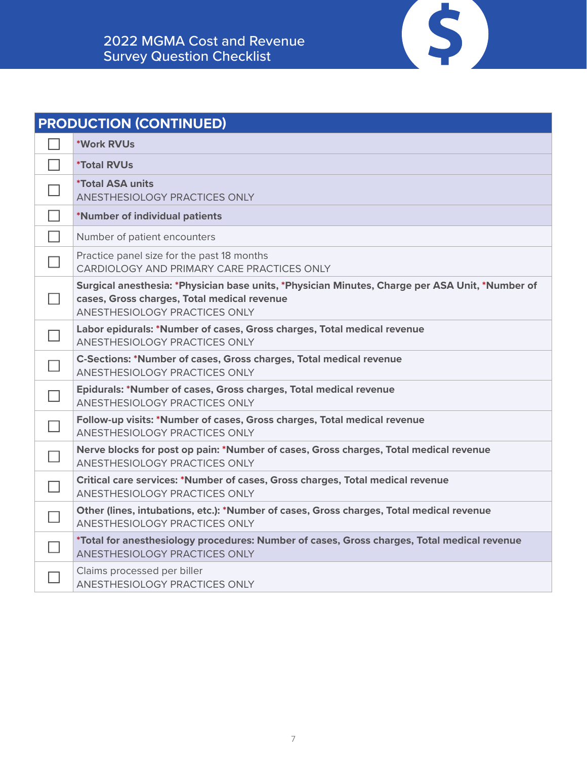| <b>PRODUCTION (CONTINUED)</b> |                                                                                                                                                                                 |
|-------------------------------|---------------------------------------------------------------------------------------------------------------------------------------------------------------------------------|
|                               | *Work RVUs                                                                                                                                                                      |
|                               | <i><b>*Total RVUs</b></i>                                                                                                                                                       |
|                               | <i><b>*Total ASA units</b></i><br><b>ANESTHESIOLOGY PRACTICES ONLY</b>                                                                                                          |
|                               | *Number of individual patients                                                                                                                                                  |
| П                             | Number of patient encounters                                                                                                                                                    |
|                               | Practice panel size for the past 18 months<br>CARDIOLOGY AND PRIMARY CARE PRACTICES ONLY                                                                                        |
|                               | Surgical anesthesia: *Physician base units, *Physician Minutes, Charge per ASA Unit, *Number of<br>cases, Gross charges, Total medical revenue<br>ANESTHESIOLOGY PRACTICES ONLY |
|                               | Labor epidurals: *Number of cases, Gross charges, Total medical revenue<br>ANESTHESIOLOGY PRACTICES ONLY                                                                        |
|                               | <b>C-Sections: *Number of cases, Gross charges, Total medical revenue</b><br>ANESTHESIOLOGY PRACTICES ONLY                                                                      |
|                               | Epidurals: *Number of cases, Gross charges, Total medical revenue<br><b>ANESTHESIOLOGY PRACTICES ONLY</b>                                                                       |
|                               | Follow-up visits: *Number of cases, Gross charges, Total medical revenue<br>ANESTHESIOLOGY PRACTICES ONLY                                                                       |
|                               | Nerve blocks for post op pain: *Number of cases, Gross charges, Total medical revenue<br>ANESTHESIOLOGY PRACTICES ONLY                                                          |
|                               | Critical care services: *Number of cases, Gross charges, Total medical revenue<br>ANESTHESIOLOGY PRACTICES ONLY                                                                 |
|                               | Other (lines, intubations, etc.): *Number of cases, Gross charges, Total medical revenue<br>ANESTHESIOLOGY PRACTICES ONLY                                                       |
|                               | *Total for anesthesiology procedures: Number of cases, Gross charges, Total medical revenue<br>ANESTHESIOLOGY PRACTICES ONLY                                                    |
|                               | Claims processed per biller<br><b>ANESTHESIOLOGY PRACTICES ONLY</b>                                                                                                             |

 $\left( \text{S} \right)$